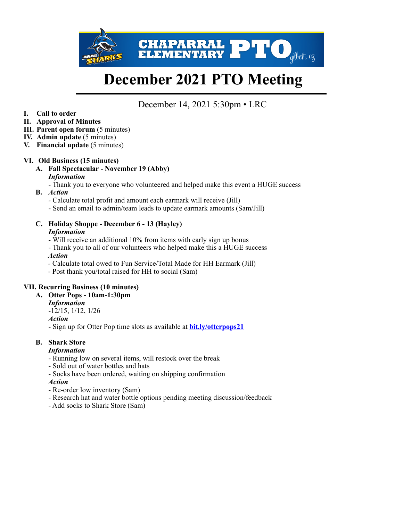

# **December 2021 PTO Meeting**

December 14, 2021 5:30pm • LRC

**I. Call to order** 

## **II. Approval of Minutes**

- **III. Parent open forum** (5 minutes)
- **IV. Admin update** (5 minutes)
- **V. Financial update** (5 minutes)

## **VI. Old Business (15 minutes)**

**A. Fall Spectacular - November 19 (Abby)**  *Information* 

- Thank you to everyone who volunteered and helped make this event a HUGE success

- **B.** *Action* 
	- Calculate total profit and amount each earmark will receive (Jill)
	- Send an email to admin/team leads to update earmark amounts (Sam/Jill)

#### **C. Holiday Shoppe - December 6 - 13 (Hayley)**  *Information*

- Will receive an additional 10% from items with early sign up bonus
- Thank you to all of our volunteers who helped make this a HUGE success  *Action*
- Calculate total owed to Fun Service/Total Made for HH Earmark (Jill)
- Post thank you/total raised for HH to social (Sam)

## **VII. Recurring Business (10 minutes)**

#### **A. Otter Pops - 10am-1:30pm**

*Information* 

-12/15, 1/12, 1/26

*Action*

- Sign up for Otter Pop time slots as available at **[bit.ly/otterpops21](http://bit.ly/otterpops21)**

## **B. Shark Store**

## *Information*

- Running low on several items, will restock over the break
- Sold out of water bottles and hats
- Socks have been ordered, waiting on shipping confirmation

#### *Action*

- Re-order low inventory (Sam)
- Research hat and water bottle options pending meeting discussion/feedback
- Add socks to Shark Store (Sam)